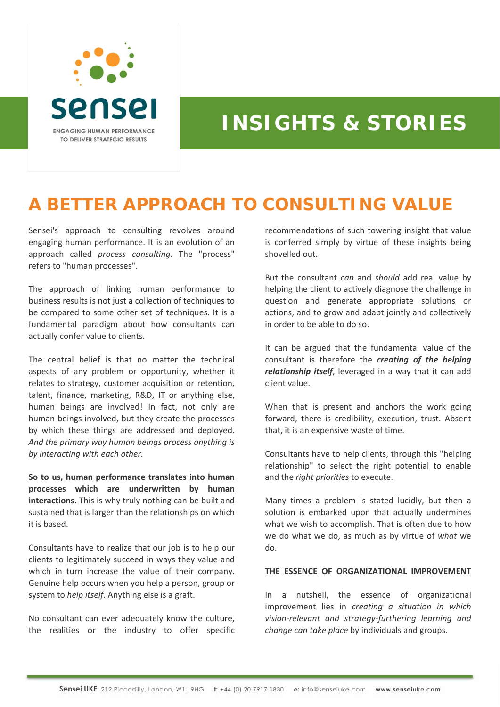

# **INSIGHTS & STORIES**

## **A BETTER APPROACH TO CONSULTING VALUE**

Sensei's approach to consulting revolves around engaging human performance. It is an evolution of an approach called *process consulting*. The "process" refers to "human processes".

The approach of linking human performance to business results is not just a collection of techniques to be compared to some other set of techniques. It is a fundamental paradigm about how consultants can actually confer value to clients.

The central belief is that no matter the technical aspects of any problem or opportunity, whether it relates to strategy, customer acquisition or retention, talent, finance, marketing, R&D, IT or anything else, human beings are involved! In fact, not only are human beings involved, but they create the processes by which these things are addressed and deployed. *And the primary way human beings process anything is by interacting with each other.*

**So to us, human performance translates into human processes which are underwritten by human interactions.** This is why truly nothing can be built and sustained that is larger than the relationships on which it is based.

Consultants have to realize that our job is to help our clients to legitimately succeed in ways they value and which in turn increase the value of their company. Genuine help occurs when you help a person, group or system to *help itself*. Anything else is a graft.

No consultant can ever adequately know the culture, the realities or the industry to offer specific recommendations of such towering insight that value is conferred simply by virtue of these insights being shovelled out.

But the consultant *can* and *should* add real value by helping the client to actively diagnose the challenge in question and generate appropriate solutions or actions, and to grow and adapt jointly and collectively in order to be able to do so.

It can be argued that the fundamental value of the consultant is therefore the *creating of the helping relationship itself*, leveraged in a way that it can add client value.

When that is present and anchors the work going forward, there is credibility, execution, trust. Absent that, it is an expensive waste of time.

Consultants have to help clients, through this "helping relationship" to select the right potential to enable and the *right priorities* to execute.

Many times a problem is stated lucidly, but then a solution is embarked upon that actually undermines what we wish to accomplish. That is often due to how we do what we do, as much as by virtue of *what* we do.

#### **THE ESSENCE OF ORGANIZATIONAL IMPROVEMENT**

In a nutshell, the essence of organizational improvement lies in *creating a situation in which vision‐relevant and strategy‐furthering learning and change can take place* by individuals and groups.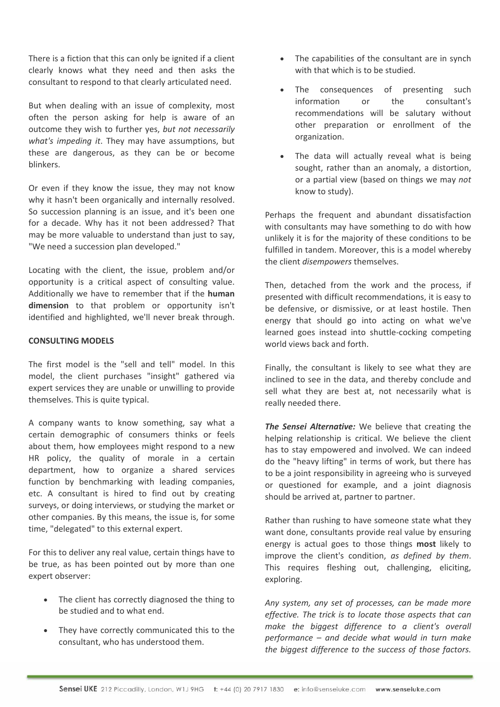There is a fiction that this can only be ignited if a client clearly knows what they need and then asks the consultant to respond to that clearly articulated need.

But when dealing with an issue of complexity, most often the person asking for help is aware of an outcome they wish to further yes, *but not necessarily what's impeding it*. They may have assumptions, but these are dangerous, as they can be or become blinkers.

Or even if they know the issue, they may not know why it hasn't been organically and internally resolved. So succession planning is an issue, and it's been one for a decade. Why has it not been addressed? That may be more valuable to understand than just to say, "We need a succession plan developed."

Locating with the client, the issue, problem and/or opportunity is a critical aspect of consulting value. Additionally we have to remember that if the **human dimension** to that problem or opportunity isn't identified and highlighted, we'll never break through.

### **CONSULTING MODELS**

The first model is the "sell and tell" model. In this model, the client purchases "insight" gathered via expert services they are unable or unwilling to provide themselves. This is quite typical.

A company wants to know something, say what a certain demographic of consumers thinks or feels about them, how employees might respond to a new HR policy, the quality of morale in a certain department, how to organize a shared services function by benchmarking with leading companies, etc. A consultant is hired to find out by creating surveys, or doing interviews, or studying the market or other companies. By this means, the issue is, for some time, "delegated" to this external expert.

For this to deliver any real value, certain things have to be true, as has been pointed out by more than one expert observer:

- The client has correctly diagnosed the thing to be studied and to what end.
- They have correctly communicated this to the consultant, who has understood them.
- The capabilities of the consultant are in synch with that which is to be studied.
- The consequences of presenting such information or the consultant's recommendations will be salutary without other preparation or enrollment of the organization.
- The data will actually reveal what is being sought, rather than an anomaly, a distortion, or a partial view (based on things we may *not* know to study).

Perhaps the frequent and abundant dissatisfaction with consultants may have something to do with how unlikely it is for the majority of these conditions to be fulfilled in tandem. Moreover, this is a model whereby the client *disempowers* themselves.

Then, detached from the work and the process, if presented with difficult recommendations, it is easy to be defensive, or dismissive, or at least hostile. Then energy that should go into acting on what we've learned goes instead into shuttle‐cocking competing world views back and forth.

Finally, the consultant is likely to see what they are inclined to see in the data, and thereby conclude and sell what they are best at, not necessarily what is really needed there.

*The Sensei Alternative:* We believe that creating the helping relationship is critical. We believe the client has to stay empowered and involved. We can indeed do the "heavy lifting" in terms of work, but there has to be a joint responsibility in agreeing who is surveyed or questioned for example, and a joint diagnosis should be arrived at, partner to partner.

Rather than rushing to have someone state what they want done, consultants provide real value by ensuring energy is actual goes to those things **most** likely to improve the client's condition, *as defined by them*. This requires fleshing out, challenging, eliciting, exploring.

*Any system, any set of processes, can be made more effective. The trick is to locate those aspects that can make the biggest difference to a client's overall performance – and decide what would in turn make the biggest difference to the success of those factors.*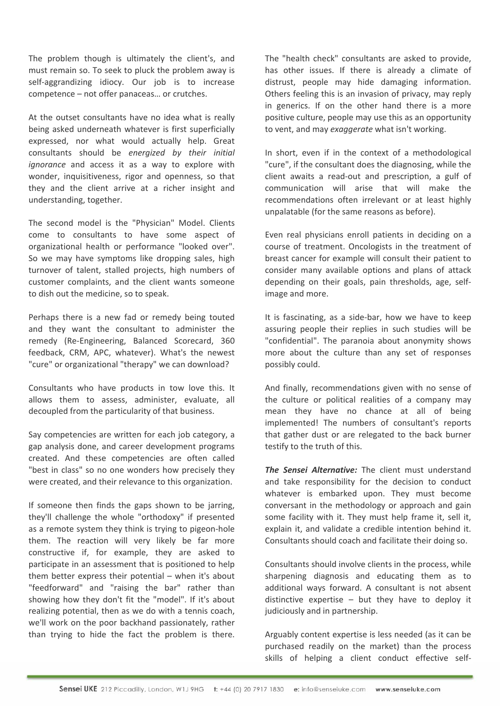The problem though is ultimately the client's, and must remain so. To seek to pluck the problem away is self-aggrandizing idiocy. Our job is to increase competence – not offer panaceas… or crutches.

At the outset consultants have no idea what is really being asked underneath whatever is first superficially expressed, nor what would actually help. Great consultants should be *energized by their initial ignorance* and access it as a way to explore with wonder, inquisitiveness, rigor and openness, so that they and the client arrive at a richer insight and understanding, together.

The second model is the "Physician" Model. Clients come to consultants to have some aspect of organizational health or performance "looked over". So we may have symptoms like dropping sales, high turnover of talent, stalled projects, high numbers of customer complaints, and the client wants someone to dish out the medicine, so to speak.

Perhaps there is a new fad or remedy being touted and they want the consultant to administer the remedy (Re‐Engineering, Balanced Scorecard, 360 feedback, CRM, APC, whatever). What's the newest "cure" or organizational "therapy" we can download?

Consultants who have products in tow love this. It allows them to assess, administer, evaluate, all decoupled from the particularity of that business.

Say competencies are written for each job category, a gap analysis done, and career development programs created. And these competencies are often called "best in class" so no one wonders how precisely they were created, and their relevance to this organization.

If someone then finds the gaps shown to be jarring, they'll challenge the whole "orthodoxy" if presented as a remote system they think is trying to pigeon‐hole them. The reaction will very likely be far more constructive if, for example, they are asked to participate in an assessment that is positioned to help them better express their potential – when it's about "feedforward" and "raising the bar" rather than showing how they don't fit the "model". If it's about realizing potential, then as we do with a tennis coach, we'll work on the poor backhand passionately, rather than trying to hide the fact the problem is there.

The "health check" consultants are asked to provide, has other issues. If there is already a climate of distrust, people may hide damaging information. Others feeling this is an invasion of privacy, may reply in generics. If on the other hand there is a more positive culture, people may use this as an opportunity to vent, and may *exaggerate* what isn't working.

In short, even if in the context of a methodological "cure", if the consultant does the diagnosing, while the client awaits a read‐out and prescription, a gulf of communication will arise that will make the recommendations often irrelevant or at least highly unpalatable (for the same reasons as before).

Even real physicians enroll patients in deciding on a course of treatment. Oncologists in the treatment of breast cancer for example will consult their patient to consider many available options and plans of attack depending on their goals, pain thresholds, age, self‐ image and more.

It is fascinating, as a side‐bar, how we have to keep assuring people their replies in such studies will be "confidential". The paranoia about anonymity shows more about the culture than any set of responses possibly could.

And finally, recommendations given with no sense of the culture or political realities of a company may mean they have no chance at all of being implemented! The numbers of consultant's reports that gather dust or are relegated to the back burner testify to the truth of this.

*The Sensei Alternative:* The client must understand and take responsibility for the decision to conduct whatever is embarked upon. They must become conversant in the methodology or approach and gain some facility with it. They must help frame it, sell it, explain it, and validate a credible intention behind it. Consultants should coach and facilitate their doing so.

Consultants should involve clients in the process, while sharpening diagnosis and educating them as to additional ways forward. A consultant is not absent distinctive expertise  $-$  but they have to deploy it judiciously and in partnership.

Arguably content expertise is less needed (as it can be purchased readily on the market) than the process skills of helping a client conduct effective self‐